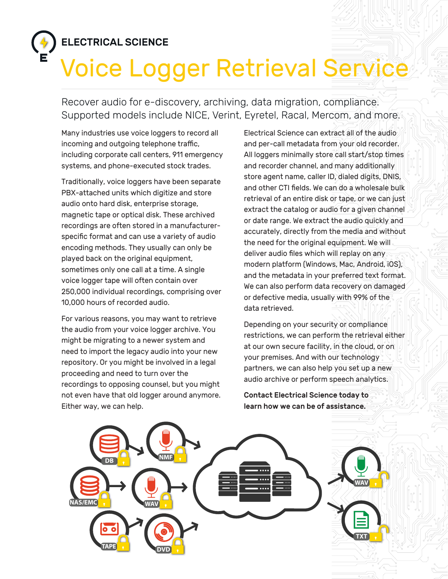## ELECTRICAL SCIENCE

## Voice Logger Retrieval Service

Recover audio for e-discovery, archiving, data migration, compliance. Supported models include NICE, Verint, Eyretel, Racal, Mercom, and more.

Many industries use voice loggers to record all incoming and outgoing telephone traffic, including corporate call centers, 911 emergency systems, and phone-executed stock trades.

Traditionally, voice loggers have been separate PBX-attached units which digitize and store audio onto hard disk, enterprise storage, magnetic tape or optical disk. These archived recordings are often stored in a manufacturerspecific format and can use a variety of audio encoding methods. They usually can only be played back on the original equipment, sometimes only one call at a time. A single voice logger tape will often contain over 250,000 individual recordings, comprising over 10,000 hours of recorded audio.

For various reasons, you may want to retrieve the audio from your voice logger archive. You might be migrating to a newer system and need to import the legacy audio into your new repository. Or you might be involved in a legal proceeding and need to turn over the recordings to opposing counsel, but you might not even have that old logger around anymore. Either way, we can help.

Electrical Science can extract all of the audio and per-call metadata from your old recorder. All loggers minimally store call start/stop times and recorder channel, and many additionally store agent name, caller ID, dialed digits, DNIS, and other CTI fields. We can do a wholesale bulk retrieval of an entire disk or tape, or we can just extract the catalog or audio for a given channel or date range. We extract the audio quickly and accurately, directly from the media and without the need for the original equipment. We will deliver audio files which will replay on any modern platform (Windows, Mac, Android, iOS), and the metadata in your preferred text format. We can also perform data recovery on damaged or defective media, usually with 99% of the data retrieved.

Depending on your security or compliance restrictions, we can perform the retrieval either at our own secure facility, in the cloud, or on your premises. And with our technology partners, we can also help you set up a new audio archive or perform speech analytics.

Contact Electrical Science today to learn how we can be of assistance.